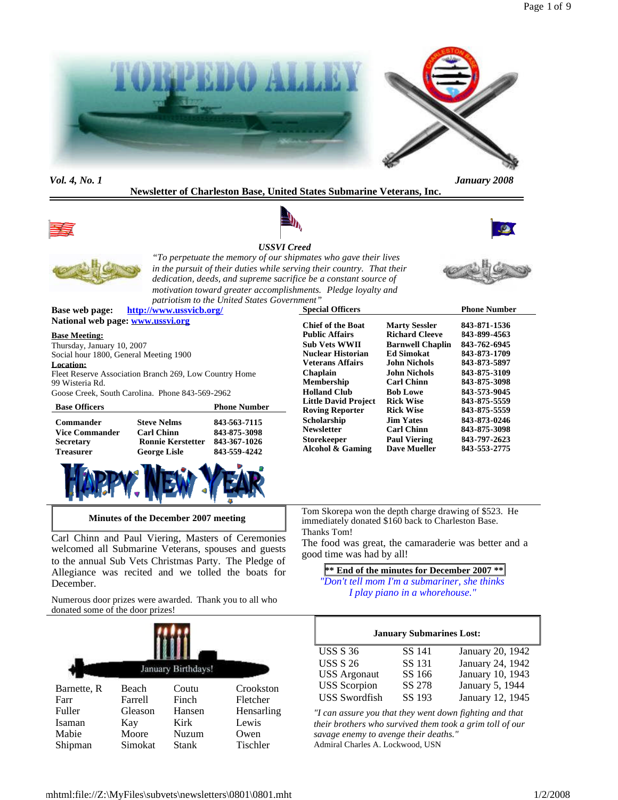

#### *Vol. 4, No. 1 January 2008*

**Newsletter of Charleston Base, United States Submarine Veterans, Inc.**





*USSVI Creed "To perpetuate the memory of our shipmates who gave their lives in the pursuit of their duties while serving their country. That their*

 $$ 

**Roving Reporter Rick Wise 843-875-5559**

**Alcohol & Gaming** 



*dedication, deeds, and supreme sacrifice be a constant source of motivation toward greater accomplishments. Pledge loyalty and patriotism to the United States Government"* **Special Officers Phone Number** 

**Base web page: http://www.ussvicb.org/ National web page: www.ussvi.org**

#### **Base Meeting:**

Thursday, January 10, 2007 Social hour 1800, General Meeting 1900 **Location:**

Fleet Reserve Association Branch 269, Low Country Home 99 Wisteria Rd.

Goose Creek, South Carolina. Phone 843-569-2962

| <b>Base Officers</b>  |                          | <b>Phone Number</b> |
|-----------------------|--------------------------|---------------------|
| <b>Commander</b>      | <b>Steve Nelms</b>       | 843-563-7115        |
| <b>Vice Commander</b> | <b>Carl Chinn</b>        | 843-875-3098        |
| <b>Secretary</b>      | <b>Ronnie Kerstetter</b> | 843-367-1026        |
| <b>Treasurer</b>      | <b>George Lisle</b>      | 843-559-4242        |



**Minutes of the December 2007 meeting**

Carl Chinn and Paul Viering, Masters of Ceremonies welcomed all Submarine Veterans, spouses and guests to the annual Sub Vets Christmas Party. The Pledge of Allegiance was recited and we tolled the boats for December.

Numerous door prizes were awarded. Thank you to all who donated some of the door prizes!



Tom Skorepa won the depth charge drawing of \$523. He immediately donated \$160 back to Charleston Base. Thanks Tom!

**Chief of the Boat Marty Sessler 843-871-1536**  $Richard Cleeve$ **Sub Vets WWII Barnwell Chaplin 843-762-6945 Nuclear Historian Ed Simokat 843-873-1709 Veterans Affairs John Nichols 843-873-5897 Chaplain John Nichols 843-875-3109**

**Holland Club Bob Lowe 843-573-9045 Little David Project Rick Wise 843-875-5559**

**Scholarship Jim Yates 843-873-0246 Newsletter Carl Chinn 843-875-3098 Storekeeper Paul Viering 843-797-2623**

The food was great, the camaraderie was better and a good time was had by all!

**\*\* End of the minutes for December 2007 \*\*** *"Don't tell mom I'm a submariner, she thinks I play piano in a whorehouse."*

| <b>January Submarines Lost:</b> |        |                  |  |  |  |
|---------------------------------|--------|------------------|--|--|--|
| USS S 36                        | SS 141 | January 20, 1942 |  |  |  |
| <b>USS S 26</b>                 | SS 131 | January 24, 1942 |  |  |  |
| <b>USS</b> Argonaut             | SS 166 | January 10, 1943 |  |  |  |
| <b>USS</b> Scorpion             | SS 278 | January 5, 1944  |  |  |  |
| <b>USS Swordfish</b>            | SS 193 | January 12, 1945 |  |  |  |

*"I can assure you that they went down fighting and that their brothers who survived them took a grim toll of our savage enemy to avenge their deaths."* Admiral Charles A. Lockwood, USN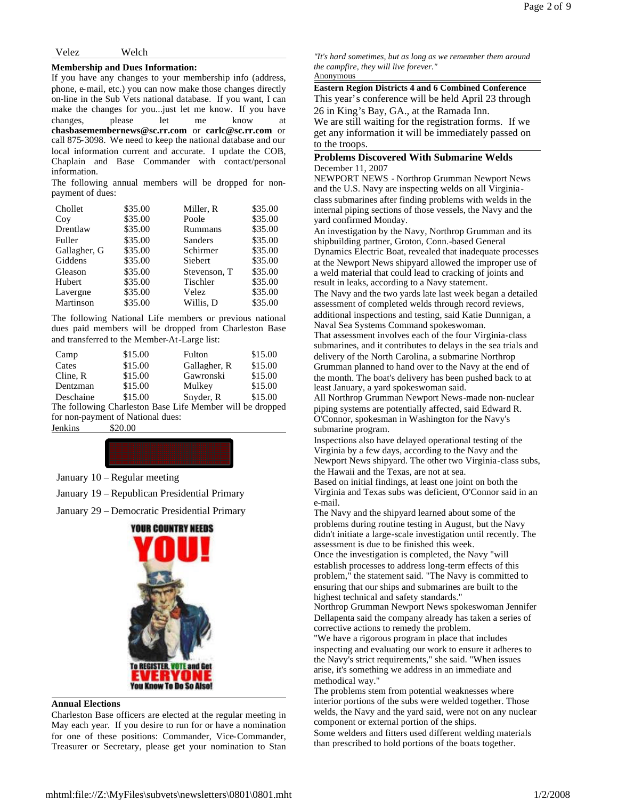Velez Welch

## **Membership and Dues Information:**

If you have any changes to your membership info (address, phone, e-mail, etc.) you can now make those changes directly on-line in the Sub Vets national database. If you want, I can make the changes for you...just let me know. If you have changes, please let me know at **chasbasemembernews@sc.rr.com** or **carlc@sc.rr.com** or call 875-3098. We need to keep the national database and our local information current and accurate. I update the COB, Chaplain and Base Commander with contact/personal information.

The following annual members will be dropped for nonpayment of dues:

| Chollet      | \$35.00 | Miller, R    | \$35.00 |
|--------------|---------|--------------|---------|
| Cov          | \$35.00 | Poole        | \$35.00 |
| Drentlaw     | \$35.00 | Rummans      | \$35.00 |
| Fuller       | \$35.00 | Sanders      | \$35.00 |
| Gallagher, G | \$35.00 | Schirmer     | \$35.00 |
| Giddens      | \$35.00 | Siebert      | \$35.00 |
| Gleason      | \$35.00 | Stevenson. T | \$35.00 |
| Hubert       | \$35.00 | Tischler     | \$35.00 |
| Lavergne     | \$35.00 | Velez        | \$35.00 |
| Martinson    | \$35.00 | Willis. D    | \$35.00 |

The following National Life members or previous national dues paid members will be dropped from Charleston Base and transferred to the Member-At-Large list:

| Camp          | \$15.00 | Fulton       | \$15.00 |
|---------------|---------|--------------|---------|
| Cates         | \$15.00 | Gallagher, R | \$15.00 |
| $C$ line, $R$ | \$15.00 | Gawronski    | \$15.00 |
| Dentzman      | \$15.00 | Mulkey       | \$15.00 |
| Deschaine     | \$15.00 | Snyder, R    | \$15.00 |

The following Charleston Base Life Member will be dropped for non-payment of National dues: Jenkins \$20.00



January 10 – Regular meeting

January 19 – Republican Presidential Primary

January 29 – Democratic Presidential Primary



## **Annual Elections**

Charleston Base officers are elected at the regular meeting in May each year. If you desire to run for or have a nomination for one of these positions: Commander, Vice-Commander, Treasurer or Secretary, please get your nomination to Stan

*"It's hard sometimes, but as long as we remember them around the campfire, they will live forever."* **Anonymous** 

**Eastern Region Districts 4 and 6 Combined Conference** This year's conference will be held April 23 through 26 in King's Bay, GA., at the Ramada Inn. We are still waiting for the registration forms. If we get any information it will be immediately passed on to the troops.

## **Problems Discovered With Submarine Welds** December 11, 2007

NEWPORT NEWS - Northrop Grumman Newport News and the U.S. Navy are inspecting welds on all Virginiaclass submarines after finding problems with welds in the internal piping sections of those vessels, the Navy and the yard confirmed Monday.

An investigation by the Navy, Northrop Grumman and its shipbuilding partner, Groton, Conn.-based General Dynamics Electric Boat, revealed that inadequate processes at the Newport News shipyard allowed the improper use of a weld material that could lead to cracking of joints and result in leaks, according to a Navy statement.

The Navy and the two yards late last week began a detailed assessment of completed welds through record reviews, additional inspections and testing, said Katie Dunnigan, a

Naval Sea Systems Command spokeswoman. That assessment involves each of the four Virginia-class submarines, and it contributes to delays in the sea trials and delivery of the North Carolina, a submarine Northrop Grumman planned to hand over to the Navy at the end of the month. The boat's delivery has been pushed back to at least January, a yard spokeswoman said.

All Northrop Grumman Newport News-made non-nuclear piping systems are potentially affected, said Edward R. O'Connor, spokesman in Washington for the Navy's submarine program.

Inspections also have delayed operational testing of the Virginia by a few days, according to the Navy and the Newport News shipyard. The other two Virginia-class subs, the Hawaii and the Texas, are not at sea.

Based on initial findings, at least one joint on both the Virginia and Texas subs was deficient, O'Connor said in an e-mail.

The Navy and the shipyard learned about some of the problems during routine testing in August, but the Navy didn't initiate a large-scale investigation until recently. The assessment is due to be finished this week.

Once the investigation is completed, the Navy "will establish processes to address long-term effects of this problem," the statement said. "The Navy is committed to ensuring that our ships and submarines are built to the highest technical and safety standards."

Northrop Grumman Newport News spokeswoman Jennifer Dellapenta said the company already has taken a series of corrective actions to remedy the problem.

"We have a rigorous program in place that includes inspecting and evaluating our work to ensure it adheres to the Navy's strict requirements," she said. "When issues arise, it's something we address in an immediate and methodical way."

The problems stem from potential weaknesses where interior portions of the subs were welded together. Those welds, the Navy and the yard said, were not on any nuclear component or external portion of the ships.

Some welders and fitters used different welding materials than prescribed to hold portions of the boats together.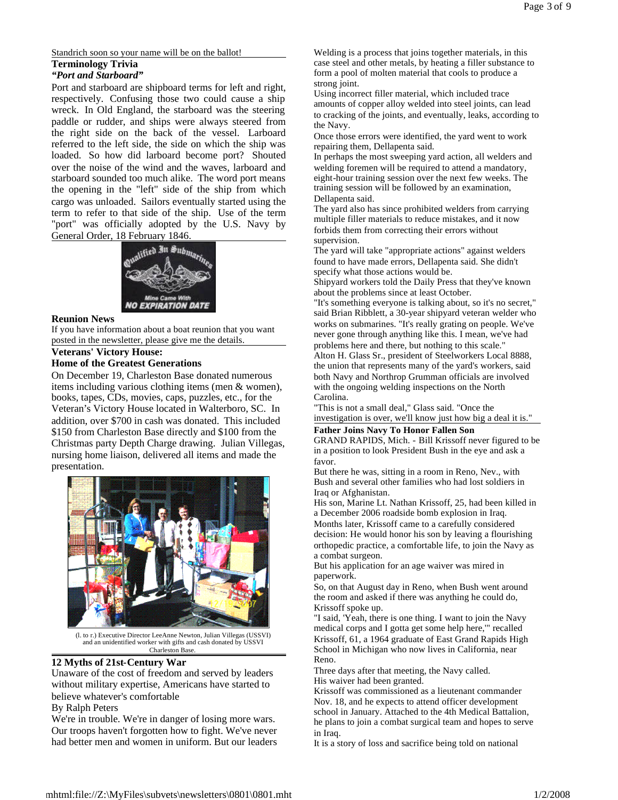Standrich soon so your name will be on the ballot!

#### **Terminology Trivia** *"Port and Starboard"*

Port and starboard are shipboard terms for left and right, respectively. Confusing those two could cause a ship wreck. In Old England, the starboard was the steering paddle or rudder, and ships were always steered from the right side on the back of the vessel. Larboard referred to the left side, the side on which the ship was loaded. So how did larboard become port? Shouted over the noise of the wind and the waves, larboard and starboard sounded too much alike. The word port means the opening in the "left" side of the ship from which cargo was unloaded. Sailors eventually started using the term to refer to that side of the ship. Use of the term "port" was officially adopted by the U.S. Navy by General Order, 18 February 1846.



# **Reunion News**

If you have information about a boat reunion that you want posted in the newsletter, please give me the details.

# **Veterans' Victory House:**

## **Home of the Greatest Generations**

On December 19, Charleston Base donated numerous items including various clothing items (men & women), books, tapes, CDs, movies, caps, puzzles, etc., for the Veteran's Victory House located in Walterboro, SC. In addition, over \$700 in cash was donated. This included \$150 from Charleston Base directly and \$100 from the Christmas party Depth Charge drawing. Julian Villegas, nursing home liaison, delivered all items and made the presentation.



(l. to r.) Executive Director LeeAnne Newton, Julian Villegas (USSVI) and an unidentified worker with gifts and cash donated by USSVI Charleston Base.

# **12 Myths of 21st-Century War**

Unaware of the cost of freedom and served by leaders without military expertise, Americans have started to believe whatever's comfortable

## By Ralph Peters

We're in trouble. We're in danger of losing more wars. Our troops haven't forgotten how to fight. We've never had better men and women in uniform. But our leaders

Welding is a process that joins together materials, in this case steel and other metals, by heating a filler substance to form a pool of molten material that cools to produce a strong joint.

Using incorrect filler material, which included trace amounts of copper alloy welded into steel joints, can lead to cracking of the joints, and eventually, leaks, according to the Navy.

Once those errors were identified, the yard went to work repairing them, Dellapenta said.

In perhaps the most sweeping yard action, all welders and welding foremen will be required to attend a mandatory, eight-hour training session over the next few weeks. The training session will be followed by an examination, Dellapenta said.

The yard also has since prohibited welders from carrying multiple filler materials to reduce mistakes, and it now forbids them from correcting their errors without supervision.

The yard will take "appropriate actions" against welders found to have made errors, Dellapenta said. She didn't specify what those actions would be.

Shipyard workers told the Daily Press that they've known about the problems since at least October.

"It's something everyone is talking about, so it's no secret," said Brian Ribblett, a 30-year shipyard veteran welder who works on submarines. "It's really grating on people. We've never gone through anything like this. I mean, we've had problems here and there, but nothing to this scale." Alton H. Glass Sr., president of Steelworkers Local 8888, the union that represents many of the yard's workers, said both Navy and Northrop Grumman officials are involved with the ongoing welding inspections on the North Carolina.

"This is not a small deal," Glass said. "Once the investigation is over, we'll know just how big a deal it is."

## **Father Joins Navy To Honor Fallen Son**

GRAND RAPIDS, Mich. - Bill Krissoff never figured to be in a position to look President Bush in the eye and ask a favor.

But there he was, sitting in a room in Reno, Nev., with Bush and several other families who had lost soldiers in Iraq or Afghanistan.

His son, Marine Lt. Nathan Krissoff, 25, had been killed in a December 2006 roadside bomb explosion in Iraq.

Months later, Krissoff came to a carefully considered decision: He would honor his son by leaving a flourishing orthopedic practice, a comfortable life, to join the Navy as a combat surgeon.

But his application for an age waiver was mired in paperwork.

So, on that August day in Reno, when Bush went around the room and asked if there was anything he could do, Krissoff spoke up.

"I said, 'Yeah, there is one thing. I want to join the Navy medical corps and I gotta get some help here,'" recalled Krissoff, 61, a 1964 graduate of East Grand Rapids High School in Michigan who now lives in California, near Reno.

Three days after that meeting, the Navy called. His waiver had been granted.

Krissoff was commissioned as a lieutenant commander Nov. 18, and he expects to attend officer development school in January. Attached to the 4th Medical Battalion, he plans to join a combat surgical team and hopes to serve in Iraq.

It is a story of loss and sacrifice being told on national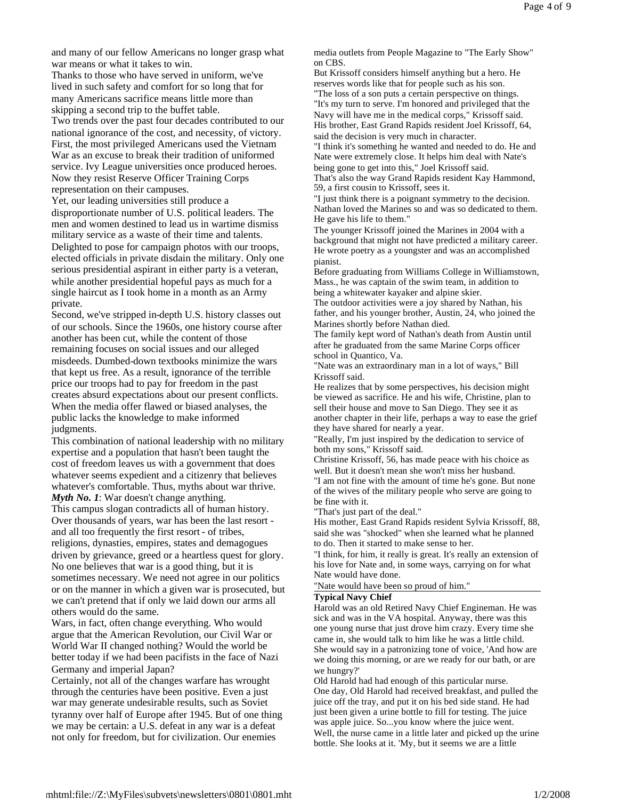and many of our fellow Americans no longer grasp what war means or what it takes to win.

Thanks to those who have served in uniform, we've lived in such safety and comfort for so long that for many Americans sacrifice means little more than skipping a second trip to the buffet table.

Two trends over the past four decades contributed to our national ignorance of the cost, and necessity, of victory. First, the most privileged Americans used the Vietnam War as an excuse to break their tradition of uniformed service. Ivy League universities once produced heroes. Now they resist Reserve Officer Training Corps representation on their campuses.

Yet, our leading universities still produce a disproportionate number of U.S. political leaders. The men and women destined to lead us in wartime dismiss military service as a waste of their time and talents. Delighted to pose for campaign photos with our troops, elected officials in private disdain the military. Only one serious presidential aspirant in either party is a veteran, while another presidential hopeful pays as much for a single haircut as I took home in a month as an Army private.

Second, we've stripped in-depth U.S. history classes out of our schools. Since the 1960s, one history course after another has been cut, while the content of those remaining focuses on social issues and our alleged misdeeds. Dumbed-down textbooks minimize the wars that kept us free. As a result, ignorance of the terrible price our troops had to pay for freedom in the past creates absurd expectations about our present conflicts. When the media offer flawed or biased analyses, the public lacks the knowledge to make informed judgments.

This combination of national leadership with no military expertise and a population that hasn't been taught the cost of freedom leaves us with a government that does whatever seems expedient and a citizenry that believes whatever's comfortable. Thus, myths about war thrive. *Myth No. 1*: War doesn't change anything.

This campus slogan contradicts all of human history. Over thousands of years, war has been the last resort and all too frequently the first resort - of tribes, religions, dynasties, empires, states and demagogues driven by grievance, greed or a heartless quest for glory. No one believes that war is a good thing, but it is sometimes necessary. We need not agree in our politics or on the manner in which a given war is prosecuted, but we can't pretend that if only we laid down our arms all others would do the same.

Wars, in fact, often change everything. Who would argue that the American Revolution, our Civil War or World War II changed nothing? Would the world be better today if we had been pacifists in the face of Nazi Germany and imperial Japan?

Certainly, not all of the changes warfare has wrought through the centuries have been positive. Even a just war may generate undesirable results, such as Soviet tyranny over half of Europe after 1945. But of one thing we may be certain: a U.S. defeat in any war is a defeat not only for freedom, but for civilization. Our enemies

media outlets from People Magazine to "The Early Show" on CBS.

But Krissoff considers himself anything but a hero. He reserves words like that for people such as his son. "The loss of a son puts a certain perspective on things. "It's my turn to serve. I'm honored and privileged that the Navy will have me in the medical corps," Krissoff said. His brother, East Grand Rapids resident Joel Krissoff, 64, said the decision is very much in character.

"I think it's something he wanted and needed to do. He and Nate were extremely close. It helps him deal with Nate's being gone to get into this," Joel Krissoff said.

That's also the way Grand Rapids resident Kay Hammond, 59, a first cousin to Krissoff, sees it.

"I just think there is a poignant symmetry to the decision. Nathan loved the Marines so and was so dedicated to them. He gave his life to them."

The younger Krissoff joined the Marines in 2004 with a background that might not have predicted a military career. He wrote poetry as a youngster and was an accomplished pianist.

Before graduating from Williams College in Williamstown, Mass., he was captain of the swim team, in addition to being a whitewater kayaker and alpine skier.

The outdoor activities were a joy shared by Nathan, his father, and his younger brother, Austin, 24, who joined the Marines shortly before Nathan died.

The family kept word of Nathan's death from Austin until after he graduated from the same Marine Corps officer school in Quantico, Va.

"Nate was an extraordinary man in a lot of ways," Bill Krissoff said.

He realizes that by some perspectives, his decision might be viewed as sacrifice. He and his wife, Christine, plan to sell their house and move to San Diego. They see it as another chapter in their life, perhaps a way to ease the grief they have shared for nearly a year.

"Really, I'm just inspired by the dedication to service of both my sons," Krissoff said.

Christine Krissoff, 56, has made peace with his choice as well. But it doesn't mean she won't miss her husband. "I am not fine with the amount of time he's gone. But none of the wives of the military people who serve are going to be fine with it.

"That's just part of the deal."

His mother, East Grand Rapids resident Sylvia Krissoff, 88, said she was "shocked" when she learned what he planned to do. Then it started to make sense to her.

"I think, for him, it really is great. It's really an extension of his love for Nate and, in some ways, carrying on for what Nate would have done.

"Nate would have been so proud of him."

#### **Typical Navy Chief**

Harold was an old Retired Navy Chief Engineman. He was sick and was in the VA hospital. Anyway, there was this one young nurse that just drove him crazy. Every time she came in, she would talk to him like he was a little child. She would say in a patronizing tone of voice, 'And how are we doing this morning, or are we ready for our bath, or are we hungry?'

Old Harold had had enough of this particular nurse. One day, Old Harold had received breakfast, and pulled the juice off the tray, and put it on his bed side stand. He had just been given a urine bottle to fill for testing. The juice was apple juice. So...you know where the juice went. Well, the nurse came in a little later and picked up the urine bottle. She looks at it. 'My, but it seems we are a little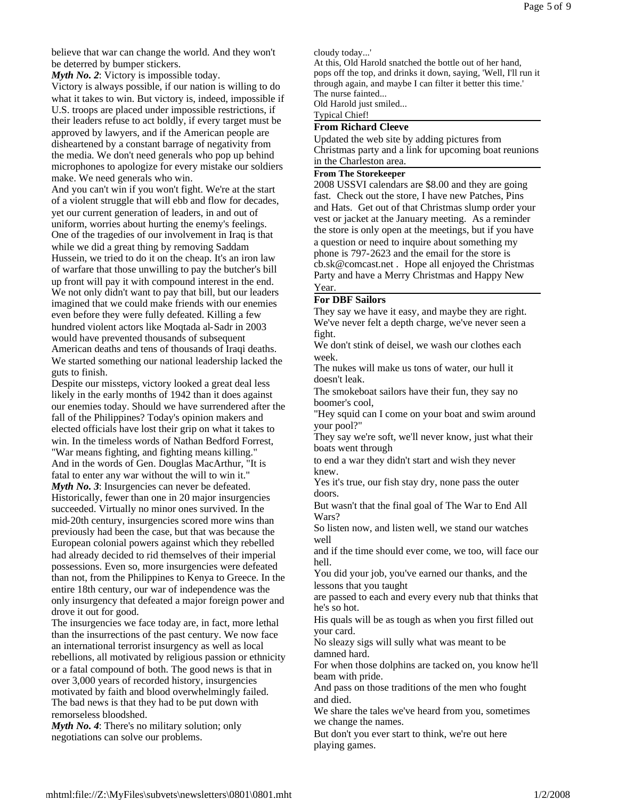believe that war can change the world. And they won't be deterred by bumper stickers.

*Myth No. 2*: Victory is impossible today.

Victory is always possible, if our nation is willing to do what it takes to win. But victory is, indeed, impossible if U.S. troops are placed under impossible restrictions, if their leaders refuse to act boldly, if every target must be approved by lawyers, and if the American people are disheartened by a constant barrage of negativity from the media. We don't need generals who pop up behind microphones to apologize for every mistake our soldiers make. We need generals who win.

And you can't win if you won't fight. We're at the start of a violent struggle that will ebb and flow for decades, yet our current generation of leaders, in and out of uniform, worries about hurting the enemy's feelings. One of the tragedies of our involvement in Iraq is that while we did a great thing by removing Saddam Hussein, we tried to do it on the cheap. It's an iron law of warfare that those unwilling to pay the butcher's bill up front will pay it with compound interest in the end. We not only didn't want to pay that bill, but our leaders imagined that we could make friends with our enemies even before they were fully defeated. Killing a few hundred violent actors like Moqtada al-Sadr in 2003 would have prevented thousands of subsequent American deaths and tens of thousands of Iraqi deaths. We started something our national leadership lacked the guts to finish.

Despite our missteps, victory looked a great deal less likely in the early months of 1942 than it does against our enemies today. Should we have surrendered after the fall of the Philippines? Today's opinion makers and elected officials have lost their grip on what it takes to win. In the timeless words of Nathan Bedford Forrest, "War means fighting, and fighting means killing." And in the words of Gen. Douglas MacArthur, "It is fatal to enter any war without the will to win it." *Myth No.* 3: Insurgencies can never be defeated. Historically, fewer than one in 20 major insurgencies succeeded. Virtually no minor ones survived. In the mid-20th century, insurgencies scored more wins than previously had been the case, but that was because the European colonial powers against which they rebelled had already decided to rid themselves of their imperial possessions. Even so, more insurgencies were defeated than not, from the Philippines to Kenya to Greece. In the entire 18th century, our war of independence was the only insurgency that defeated a major foreign power and drove it out for good.

The insurgencies we face today are, in fact, more lethal than the insurrections of the past century. We now face an international terrorist insurgency as well as local rebellions, all motivated by religious passion or ethnicity or a fatal compound of both. The good news is that in over 3,000 years of recorded history, insurgencies motivated by faith and blood overwhelmingly failed. The bad news is that they had to be put down with remorseless bloodshed.

*Myth No. 4*: There's no military solution; only negotiations can solve our problems.

cloudy today...'

At this, Old Harold snatched the bottle out of her hand, pops off the top, and drinks it down, saying, 'Well, I'll run it through again, and maybe I can filter it better this time.' The nurse fainted... Old Harold just smiled...

Typical Chief!

## **From Richard Cleeve**

Updated the web site by adding pictures from Christmas party and a link for upcoming boat reunions in the Charleston area.

### **From The Storekeeper**

2008 USSVI calendars are \$8.00 and they are going fast. Check out the store, I have new Patches, Pins and Hats. Get out of that Christmas slump order your vest or jacket at the January meeting. As a reminder the store is only open at the meetings, but if you have a question or need to inquire about something my phone is 797-2623 and the email for the store is cb.sk@comcast.net . Hope all enjoyed the Christmas Party and have a Merry Christmas and Happy New Year.

## **For DBF Sailors**

They say we have it easy, and maybe they are right. We've never felt a depth charge, we've never seen a fight.

We don't stink of deisel, we wash our clothes each week.

The nukes will make us tons of water, our hull it doesn't leak.

The smokeboat sailors have their fun, they say no boomer's cool,

"Hey squid can I come on your boat and swim around your pool?"

They say we're soft, we'll never know, just what their boats went through

to end a war they didn't start and wish they never knew.

Yes it's true, our fish stay dry, none pass the outer doors.

But wasn't that the final goal of The War to End All Wars?

So listen now, and listen well, we stand our watches well

and if the time should ever come, we too, will face our hell.

You did your job, you've earned our thanks, and the lessons that you taught

are passed to each and every every nub that thinks that he's so hot.

His quals will be as tough as when you first filled out your card.

No sleazy sigs will sully what was meant to be damned hard.

For when those dolphins are tacked on, you know he'll beam with pride.

And pass on those traditions of the men who fought and died.

We share the tales we've heard from you, sometimes we change the names.

But don't you ever start to think, we're out here playing games.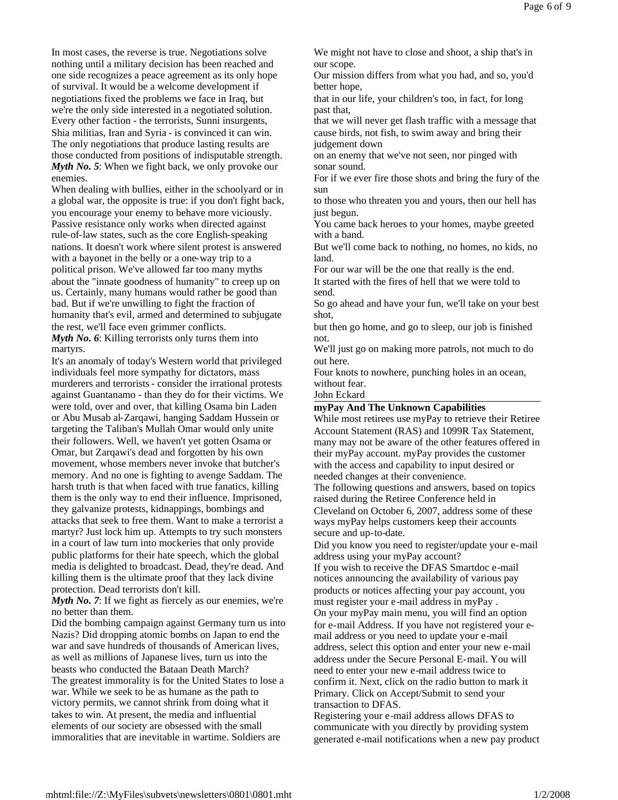In most cases, the reverse is true. Negotiations solve nothing until a military decision has been reached and one side recognizes a peace agreement as its only hope of survival. It would be a welcome development if negotiations fixed the problems we face in Iraq, but we're the only side interested in a negotiated solution. Every other faction - the terrorists, Sunni insurgents, Shia militias, Iran and Syria - is convinced it can win. The only negotiations that produce lasting results are those conducted from positions of indisputable strength. *Myth No.* 5: When we fight back, we only provoke our enemies.

When dealing with bullies, either in the schoolyard or in a global war, the opposite is true: if you don't fight back, you encourage your enemy to behave more viciously. Passive resistance only works when directed against rule-of-law states, such as the core English-speaking nations. It doesn't work where silent protest is answered with a bayonet in the belly or a one-way trip to a political prison. We've allowed far too many myths about the "innate goodness of humanity" to creep up on us. Certainly, many humans would rather be good than bad. But if we're unwilling to fight the fraction of humanity that's evil, armed and determined to subjugate the rest, we'll face even grimmer conflicts.

*Myth No. 6*: Killing terrorists only turns them into martyrs.

It's an anomaly of today's Western world that privileged individuals feel more sympathy for dictators, mass murderers and terrorists- consider the irrational protests against Guantanamo - than they do for their victims. We were told, over and over, that killing Osama bin Laden or Abu Musab al-Zarqawi, hanging Saddam Hussein or targeting the Taliban's Mullah Omar would only unite their followers. Well, we haven't yet gotten Osama or Omar, but Zarqawi's dead and forgotten by his own movement, whose members never invoke that butcher's memory. And no one is fighting to avenge Saddam. The harsh truth is that when faced with true fanatics, killing them is the only way to end their influence. Imprisoned, they galvanize protests, kidnappings, bombings and attacks that seek to free them. Want to make a terrorist a martyr? Just lock him up. Attempts to try such monsters in a court of law turn into mockeries that only provide public platforms for their hate speech, which the global media is delighted to broadcast. Dead, they're dead. And killing them is the ultimate proof that they lack divine protection. Dead terrorists don't kill.

*Myth No. 7*: If we fight as fiercely as our enemies, we're no better than them.

Did the bombing campaign against Germany turn us into Nazis? Did dropping atomic bombs on Japan to end the war and save hundreds of thousands of American lives, as well as millions of Japanese lives, turn us into the beasts who conducted the Bataan Death March? The greatest immorality is for the United States to lose a war. While we seek to be as humane as the path to victory permits, we cannot shrink from doing what it takes to win. At present, the media and influential elements of our society are obsessed with the small immoralities that are inevitable in wartime. Soldiers are

We might not have to close and shoot, a ship that's in our scope.

Our mission differs from what you had, and so, you'd better hope,

that in our life, your children's too, in fact, for long past that,

that we will never get flash traffic with a message that cause birds, not fish, to swim away and bring their judgement down

on an enemy that we've not seen, nor pinged with sonar sound.

For if we ever fire those shots and bring the fury of the sun

to those who threaten you and yours, then our hell has just begun.

You came back heroes to your homes, maybe greeted with a band.

But we'll come back to nothing, no homes, no kids, no land.

For our war will be the one that really is the end.

It started with the fires of hell that we were told to send.

So go ahead and have your fun, we'll take on your best shot,

but then go home, and go to sleep, our job is finished not.

We'll just go on making more patrols, not much to do out here.

Four knots to nowhere, punching holes in an ocean, without fear.

John Eckard

#### **myPay And The Unknown Capabilities**

While most retirees use myPay to retrieve their Retiree Account Statement (RAS) and 1099R Tax Statement, many may not be aware of the other features offered in their myPay account. myPay provides the customer with the access and capability to input desired or needed changes at their convenience.

The following questions and answers, based on topics raised during the Retiree Conference held in Cleveland on October 6, 2007, address some of these ways myPay helps customers keep their accounts secure and up-to-date.

Did you know you need to register/update your e-mail address using your myPay account?

If you wish to receive the DFAS Smartdoc e-mail notices announcing the availability of various pay products or notices affecting your pay account, you must register your e-mail address in myPay .

On your myPay main menu, you will find an option for e-mail Address. If you have not registered your email address or you need to update your e-mail address, select this option and enter your new e-mail address under the Secure Personal E-mail. You will need to enter your new e-mail address twice to confirm it. Next, click on the radio button to mark it Primary. Click on Accept/Submit to send your transaction to DFAS.

Registering your e-mail address allows DFAS to communicate with you directly by providing system generated e-mail notifications when a new pay product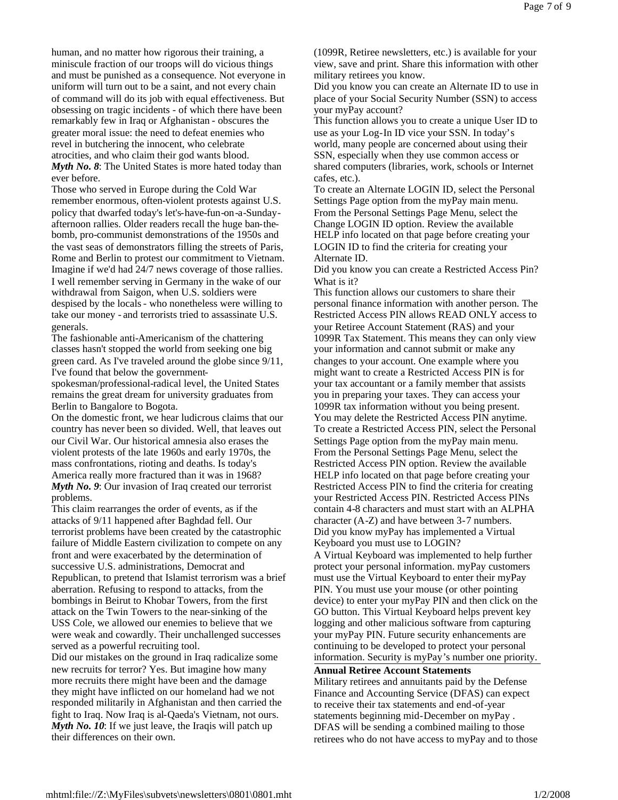human, and no matter how rigorous their training, a miniscule fraction of our troops will do vicious things and must be punished as a consequence. Not everyone in uniform will turn out to be a saint, and not every chain of command will do its job with equal effectiveness. But obsessing on tragic incidents - of which there have been remarkably few in Iraq or Afghanistan - obscures the greater moral issue: the need to defeat enemies who revel in butchering the innocent, who celebrate atrocities, and who claim their god wants blood. *Myth No. 8*: The United States is more hated today than ever before.

Those who served in Europe during the Cold War remember enormous, often-violent protests against U.S. policy that dwarfed today's let's-have-fun-on-a-Sundayafternoon rallies. Older readers recall the huge ban-thebomb, pro-communist demonstrations of the 1950s and the vast seas of demonstrators filling the streets of Paris, Rome and Berlin to protest our commitment to Vietnam. Imagine if we'd had 24/7 news coverage of those rallies. I well remember serving in Germany in the wake of our withdrawal from Saigon, when U.S. soldiers were despised by the locals- who nonetheless were willing to take our money - and terrorists tried to assassinate U.S. generals.

The fashionable anti-Americanism of the chattering classes hasn't stopped the world from seeking one big green card. As I've traveled around the globe since 9/11, I've found that below the government-

spokesman/professional-radical level, the United States remains the great dream for university graduates from Berlin to Bangalore to Bogota.

On the domestic front, we hear ludicrous claims that our country has never been so divided. Well, that leaves out our Civil War. Our historical amnesia also erases the violent protests of the late 1960s and early 1970s, the mass confrontations, rioting and deaths. Is today's America really more fractured than it was in 1968? *Myth No. 9*: Our invasion of Iraq created our terrorist problems.

This claim rearranges the order of events, as if the attacks of 9/11 happened after Baghdad fell. Our terrorist problems have been created by the catastrophic failure of Middle Eastern civilization to compete on any front and were exacerbated by the determination of successive U.S. administrations, Democrat and Republican, to pretend that Islamist terrorism was a brief aberration. Refusing to respond to attacks, from the bombings in Beirut to Khobar Towers, from the first attack on the Twin Towers to the near-sinking of the USS Cole, we allowed our enemies to believe that we were weak and cowardly. Their unchallenged successes served as a powerful recruiting tool.

Did our mistakes on the ground in Iraq radicalize some new recruits for terror? Yes. But imagine how many more recruits there might have been and the damage they might have inflicted on our homeland had we not responded militarily in Afghanistan and then carried the fight to Iraq. Now Iraq is al-Qaeda's Vietnam, not ours. *Myth No. 10*: If we just leave, the Iraqis will patch up their differences on their own.

(1099R, Retiree newsletters, etc.) is available for your view, save and print. Share this information with other military retirees you know.

Did you know you can create an Alternate ID to use in place of your Social Security Number (SSN) to access your myPay account?

This function allows you to create a unique User ID to use as your Log-In ID vice your SSN. In today's world, many people are concerned about using their SSN, especially when they use common access or shared computers (libraries, work, schools or Internet cafes, etc.).

To create an Alternate LOGIN ID, select the Personal Settings Page option from the myPay main menu. From the Personal Settings Page Menu, select the Change LOGIN ID option. Review the available HELP info located on that page before creating your LOGIN ID to find the criteria for creating your Alternate ID.

Did you know you can create a Restricted Access Pin? What is it?

This function allows our customers to share their personal finance information with another person. The Restricted Access PIN allows READ ONLY access to your Retiree Account Statement (RAS) and your 1099R Tax Statement. This means they can only view your information and cannot submit or make any changes to your account. One example where you might want to create a Restricted Access PIN is for your tax accountant or a family member that assists you in preparing your taxes. They can access your 1099R tax information without you being present. You may delete the Restricted Access PIN anytime. To create a Restricted Access PIN, select the Personal Settings Page option from the myPay main menu. From the Personal Settings Page Menu, select the Restricted Access PIN option. Review the available HELP info located on that page before creating your Restricted Access PIN to find the criteria for creating your Restricted Access PIN. Restricted Access PINs contain 4-8 characters and must start with an ALPHA character (A-Z) and have between 3-7 numbers. Did you know myPay has implemented a Virtual Keyboard you must use to LOGIN?

A Virtual Keyboard was implemented to help further protect your personal information. myPay customers must use the Virtual Keyboard to enter their myPay PIN. You must use your mouse (or other pointing device) to enter your myPay PIN and then click on the GO button. This Virtual Keyboard helps prevent key logging and other malicious software from capturing your myPay PIN. Future security enhancements are continuing to be developed to protect your personal information. Security is myPay's number one priority.

#### **Annual Retiree Account Statements**

Military retirees and annuitants paid by the Defense Finance and Accounting Service (DFAS) can expect to receive their tax statements and end-of-year statements beginning mid-December on myPay . DFAS will be sending a combined mailing to those retirees who do not have access to myPay and to those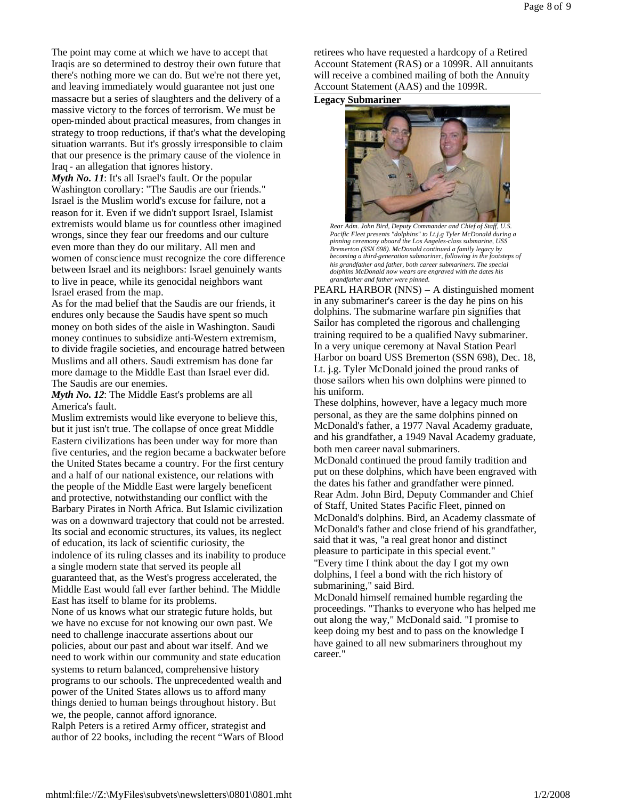The point may come at which we have to accept that Iraqis are so determined to destroy their own future that there's nothing more we can do. But we're not there yet, and leaving immediately would guarantee not just one massacre but a series of slaughters and the delivery of a massive victory to the forces of terrorism. We must be open-minded about practical measures, from changes in strategy to troop reductions, if that's what the developing situation warrants. But it's grossly irresponsible to claim that our presence is the primary cause of the violence in Iraq - an allegation that ignores history.

*Myth No. 11*: It's all Israel's fault. Or the popular Washington corollary: "The Saudis are our friends." Israel is the Muslim world's excuse for failure, not a reason for it. Even if we didn't support Israel, Islamist extremists would blame us for countless other imagined wrongs, since they fear our freedoms and our culture even more than they do our military. All men and women of conscience must recognize the core difference between Israel and its neighbors: Israel genuinely wants to live in peace, while its genocidal neighbors want Israel erased from the map.

As for the mad belief that the Saudis are our friends, it endures only because the Saudis have spent so much money on both sides of the aisle in Washington. Saudi money continues to subsidize anti-Western extremism, to divide fragile societies, and encourage hatred between Muslims and all others. Saudi extremism has done far more damage to the Middle East than Israel ever did. The Saudis are our enemies.

*Myth No. 12*: The Middle East's problems are all America's fault.

Muslim extremists would like everyone to believe this, but it just isn't true. The collapse of once great Middle Eastern civilizations has been under way for more than five centuries, and the region became a backwater before the United States became a country. For the first century and a half of our national existence, our relations with the people of the Middle East were largely beneficent and protective, notwithstanding our conflict with the Barbary Pirates in North Africa. But Islamic civilization was on a downward trajectory that could not be arrested. Its social and economic structures, its values, its neglect of education, its lack of scientific curiosity, the indolence of its ruling classes and its inability to produce a single modern state that served its people all guaranteed that, as the West's progress accelerated, the Middle East would fall ever farther behind. The Middle East has itself to blame for its problems. None of us knows what our strategic future holds, but we have no excuse for not knowing our own past. We need to challenge inaccurate assertions about our policies, about our past and about war itself. And we need to work within our community and state education systems to return balanced, comprehensive history programs to our schools. The unprecedented wealth and power of the United States allows us to afford many things denied to human beings throughout history. But we, the people, cannot afford ignorance. Ralph Peters is a retired Army officer, strategist and author of 22 books, including the recent "Wars of Blood

retirees who have requested a hardcopy of a Retired Account Statement (RAS) or a 1099R. All annuitants will receive a combined mailing of both the Annuity Account Statement (AAS) and the 1099R.

**Legacy Submariner**



*Rear Adm. John Bird, Deputy Commander and Chief of Staff, U.S. Pacific Fleet presents "dolphins" to Lt.j.g Tyler McDonald during a pinning ceremony aboard the Los Angeles-class submarine, USS Bremerton (SSN 698). McDonald continued a family legacy by becoming a third-generation submariner, following in the footsteps of his grandfather and father, both career submariners. The special dolphins McDonald now wears are engraved with the dates his grandfather and father were pinned.*

PEARL HARBOR (NNS) – A distinguished moment in any submariner's career is the day he pins on his dolphins. The submarine warfare pin signifies that Sailor has completed the rigorous and challenging training required to be a qualified Navy submariner. In a very unique ceremony at Naval Station Pearl Harbor on board USS Bremerton (SSN 698), Dec. 18, Lt. j.g. Tyler McDonald joined the proud ranks of those sailors when his own dolphins were pinned to his uniform.

These dolphins, however, have a legacy much more personal, as they are the same dolphins pinned on McDonald's father, a 1977 Naval Academy graduate, and his grandfather, a 1949 Naval Academy graduate, both men career naval submariners. McDonald continued the proud family tradition and put on these dolphins, which have been engraved with the dates his father and grandfather were pinned. Rear Adm. John Bird, Deputy Commander and Chief of Staff, United States Pacific Fleet, pinned on McDonald's dolphins. Bird, an Academy classmate of McDonald's father and close friend of his grandfather, said that it was, "a real great honor and distinct pleasure to participate in this special event." "Every time I think about the day I got my own dolphins, I feel a bond with the rich history of submarining," said Bird.

McDonald himself remained humble regarding the proceedings. "Thanks to everyone who has helped me out along the way," McDonald said. "I promise to keep doing my best and to pass on the knowledge I have gained to all new submariners throughout my career."